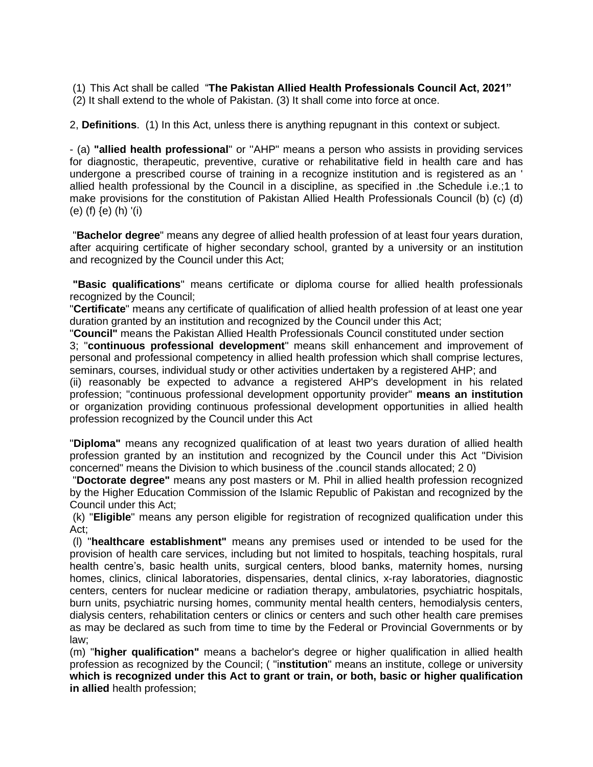(1) This Act shall be called "**The Pakistan Allied Health Professionals Council Act, 2021"**  (2) It shall extend to the whole of Pakistan. (3) It shall come into force at once.

2, **Definitions**. (1) In this Act, unless there is anything repugnant in this context or subject.

- (a) **"allied health professional**" or ''AHP" means a person who assists in providing services for diagnostic, therapeutic, preventive, curative or rehabilitative field in health care and has undergone a prescribed course of training in a recognize institution and is registered as an ' allied health professional by the Council in a discipline, as specified in .the Schedule i.e.;1 to make provisions for the constitution of Pakistan Allied Health Professionals Council (b) (c) (d) (e) (f) {e) (h) '(i)

"**Bachelor degree**" means any degree of allied health profession of at least four years duration, after acquiring certificate of higher secondary school, granted by a university or an institution and recognized by the Council under this Act;

**"Basic qualifications**" means certificate or diploma course for allied health professionals recognized by the Council;

"**Certificate**" means any certificate of qualification of allied health profession of at least one year duration granted by an institution and recognized by the Council under this Act;

"**Council"** means the Pakistan Allied Health Professionals Council constituted under section

3; "**continuous professional development**" means skill enhancement and improvement of personal and professional competency in allied health profession which shall comprise lectures, seminars, courses, individual study or other activities undertaken by a registered AHP; and

(ii) reasonably be expected to advance a registered AHP's development in his related profession; "continuous professional development opportunity provider" **means an institution** or organization providing continuous professional development opportunities in allied health profession recognized by the Council under this Act

"**Diploma"** means any recognized qualification of at least two years duration of allied health profession granted by an institution and recognized by the Council under this Act "Division concerned" means the Division to which business of the .council stands allocated; 2 0)

"**Doctorate degree"** means any post masters or M. Phil in allied health profession recognized by the Higher Education Commission of the Islamic Republic of Pakistan and recognized by the Council under this Act;

(k) "**Eligible**" means any person eligible for registration of recognized qualification under this Act;

(l) "**healthcare establishment"** means any premises used or intended to be used for the provision of health care services, including but not limited to hospitals, teaching hospitals, rural health centre's, basic health units, surgical centers, blood banks, maternity homes, nursing homes, clinics, clinical laboratories, dispensaries, dental clinics, x-ray laboratories, diagnostic centers, centers for nuclear medicine or radiation therapy, ambulatories, psychiatric hospitals, burn units, psychiatric nursing homes, community mental health centers, hemodialysis centers, dialysis centers, rehabilitation centers or clinics or centers and such other health care premises as may be declared as such from time to time by the Federal or Provincial Governments or by law;

(m) "**higher qualification"** means a bachelor's degree or higher qualification in allied health profession as recognized by the Council; ( "i**nstitution**" means an institute, college or university **which is recognized under this Act to grant or train, or both, basic or higher qualification in allied** health profession;